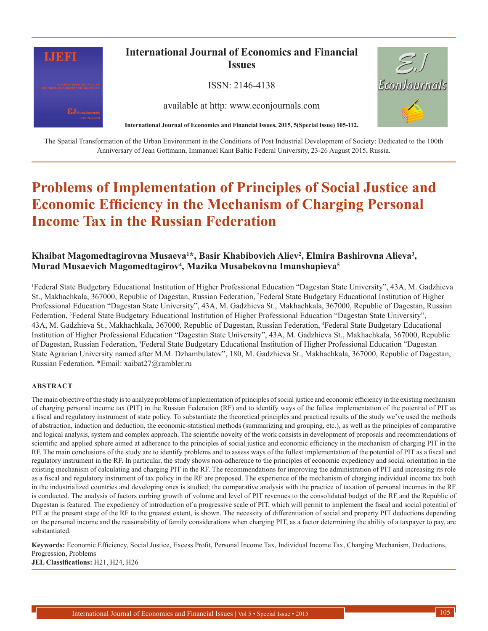

The Spatial Transformation of the Urban Environment in the Conditions of Post Industrial Development of Society: Dedicated to the 100th Anniversary of Jean Gottmann, Immanuel Kant Baltic Federal University, 23-26 August 2015, Russia.

# **Problems of Implementation of Principles of Social Justice and Economic Efficiency in the Mechanism of Charging Personal Income Tax in the Russian Federation**

# **Khaibat Magomedtagirovna Musaeva<sup>1</sup> \*, Basir Khabibovich Aliev<sup>2</sup> , Elmira Bashirovna Alieva<sup>3</sup> , Murad Musaevich Magomedtagirov<sup>4</sup> , Mazika Musabekovna Imanshapieva<sup>5</sup>**

1 Federal State Budgetary Educational Institution of Higher Professional Education "Dagestan State University", 43A, M. Gadzhieva St., Makhachkala, 367000, Republic of Dagestan, Russian Federation, <sup>2</sup>Federal State Budgetary Educational Institution of Higher Professional Education "Dagestan State University", 43A, M. Gadzhieva St., Makhachkala, 367000, Republic of Dagestan, Russian Federation, <sup>3</sup>Federal State Budgetary Educational Institution of Higher Professional Education "Dagestan State University", 43A, M. Gadzhieva St., Makhachkala, 367000, Republic of Dagestan, Russian Federation, 4 Federal State Budgetary Educational Institution of Higher Professional Education "Dagestan State University", 43A, M. Gadzhieva St., Makhachkala, 367000, Republic of Dagestan, Russian Federation, <sup>5</sup>Federal State Budgetary Educational Institution of Higher Professional Education "Dagestan State Agrarian University named after M.M. Dzhambulatov", 180, M. Gadzhieva St., Makhachkala, 367000, Republic of Dagestan, Russian Federation. \*Email: xaibat27@rambler.ru

#### **ABSTRACT**

The main objective of the study is to analyze problems of implementation of principles of social justice and economic efficiency in the existing mechanism of charging personal income tax (PIT) in the Russian Federation (RF) and to identify ways of the fullest implementation of the potential of PIT as a fiscal and regulatory instrument of state policy. To substantiate the theoretical principles and practical results of the study we've used the methods of abstraction, induction and deduction, the economic-statistical methods (summarizing and grouping, etc.), as well as the principles of comparative and logical analysis, system and complex approach. The scientific novelty of the work consists in development of proposals and recommendations of scientific and applied sphere aimed at adherence to the principles of social justice and economic efficiency in the mechanism of charging PIT in the RF. The main conclusions of the study are to identify problems and to assess ways of the fullest implementation of the potential of PIT as a fiscal and regulatory instrument in the RF. In particular, the study shows non-adherence to the principles of economic expediency and social orientation in the existing mechanism of calculating and charging PIT in the RF. The recommendations for improving the administration of PIT and increasing its role as a fiscal and regulatory instrument of tax policy in the RF are proposed. The experience of the mechanism of charging individual income tax both in the industrialized countries and developing ones is studied; the comparative analysis with the practice of taxation of personal incomes in the RF is conducted. The analysis of factors curbing growth of volume and level of PIT revenues to the consolidated budget of the RF and the Republic of Dagestan is featured. The expediency of introduction of a progressive scale of PIT, which will permit to implement the fiscal and social potential of PIT at the present stage of the RF to the greatest extent, is shown. The necessity of differentiation of social and property PIT deductions depending on the personal income and the reasonability of family considerations when charging PIT, as a factor determining the ability of a taxpayer to pay, are substantiated.

**Keywords:** Economic Efficiency, Social Justice, Excess Profit, Personal Income Tax, Individual Income Tax, Charging Mechanism, Deductions, Progression, Problems

**JEL Classifications:** H21, H24, H26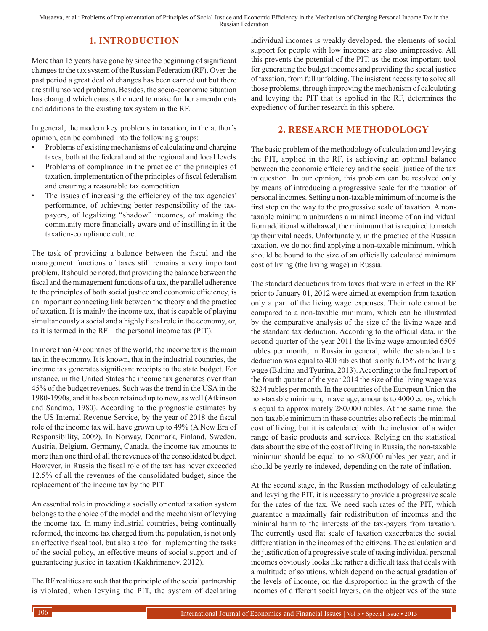Musaeva, et al.: Problems of Implementation of Principles of Social Justice and Economic Efficiency in the Mechanism of Charging Personal Income Tax in the Russian Federation

## **1. INTRODUCTION**

More than 15 years have gone by since the beginning of significant changes to the tax system of the Russian Federation (RF). Over the past period a great deal of changes has been carried out but there are still unsolved problems. Besides, the socio-economic situation has changed which causes the need to make further amendments and additions to the existing tax system in the RF.

In general, the modern key problems in taxation, in the author's opinion, can be combined into the following groups:

- Problems of existing mechanisms of calculating and charging taxes, both at the federal and at the regional and local levels
- Problems of compliance in the practice of the principles of taxation, implementation of the principles of fiscal federalism and ensuring a reasonable tax competition
- The issues of increasing the efficiency of the tax agencies' performance, of achieving better responsibility of the taxpayers, of legalizing "shadow" incomes, of making the community more financially aware and of instilling in it the taxation-compliance culture.

The task of providing a balance between the fiscal and the management functions of taxes still remains a very important problem. It should be noted, that providing the balance between the fiscal and the management functions of a tax, the parallel adherence to the principles of both social justice and economic efficiency, is an important connecting link between the theory and the practice of taxation. It is mainly the income tax, that is capable of playing simultaneously a social and a highly fiscal role in the economy, or, as it is termed in the RF – the personal income tax (PIT).

In more than 60 countries of the world, the income tax is the main tax in the economy. It is known, that in the industrial countries, the income tax generates significant receipts to the state budget. For instance, in the United States the income tax generates over than 45% of the budget revenues. Such was the trend in the USA in the 1980-1990s, and it has been retained up to now, as well (Atkinson and Sandmo, 1980). According to the prognostic estimates by the US Internal Revenue Service, by the year of 2018 the fiscal role of the income tax will have grown up to 49% (A New Era of Responsibility, 2009). In Norway, Denmark, Finland, Sweden, Austria, Belgium, Germany, Canada, the income tax amounts to more than one third of all the revenues of the consolidated budget. However, in Russia the fiscal role of the tax has never exceeded 12.5% of all the revenues of the consolidated budget, since the replacement of the income tax by the PIT.

An essential role in providing a socially oriented taxation system belongs to the choice of the model and the mechanism of levying the income tax. In many industrial countries, being continually reformed, the income tax charged from the population, is not only an effective fiscal tool, but also a tool for implementing the tasks of the social policy, an effective means of social support and of guaranteeing justice in taxation (Kakhrimanov, 2012).

The RF realities are such that the principle of the social partnership is violated, when levying the PIT, the system of declaring individual incomes is weakly developed, the elements of social support for people with low incomes are also unimpressive. All this prevents the potential of the PIT, as the most important tool for generating the budget incomes and providing the social justice of taxation, from full unfolding. The insistent necessity to solve all those problems, through improving the mechanism of calculating and levying the PIT that is applied in the RF, determines the expediency of further research in this sphere.

## **2. RESEARCH METHODOLOGY**

The basic problem of the methodology of calculation and levying the PIT, applied in the RF, is achieving an optimal balance between the economic efficiency and the social justice of the tax in question. In our opinion, this problem can be resolved only by means of introducing a progressive scale for the taxation of personal incomes. Setting a non-taxable minimum of income is the first step on the way to the progressive scale of taxation. A nontaxable minimum unburdens a minimal income of an individual from additional withdrawal, the minimum that is required to match up their vital needs. Unfortunately, in the practice of the Russian taxation, we do not find applying a non-taxable minimum, which should be bound to the size of an officially calculated minimum cost of living (the living wage) in Russia.

The standard deductions from taxes that were in effect in the RF prior to January 01, 2012 were aimed at exemption from taxation only a part of the living wage expenses. Their role cannot be compared to a non-taxable minimum, which can be illustrated by the comparative analysis of the size of the living wage and the standard tax deduction. According to the official data, in the second quarter of the year 2011 the living wage amounted 6505 rubles per month, in Russia in general, while the standard tax deduction was equal to 400 rubles that is only 6.15% of the living wage (Baltina and Tyurina, 2013). According to the final report of the fourth quarter of the year 2014 the size of the living wage was 8234 rubles per month. In the countries of the European Union the non-taxable minimum, in average, amounts to 4000 euros, which is equal to approximately 280,000 rubles. At the same time, the non-taxable minimum in these countries also reflects the minimal cost of living, but it is calculated with the inclusion of a wider range of basic products and services. Relying on the statistical data about the size of the cost of living in Russia, the non-taxable minimum should be equal to no <80,000 rubles per year, and it should be yearly re-indexed, depending on the rate of inflation.

At the second stage, in the Russian methodology of calculating and levying the PIT, it is necessary to provide a progressive scale for the rates of the tax. We need such rates of the PIT, which guarantee a maximally fair redistribution of incomes and the minimal harm to the interests of the tax-payers from taxation. The currently used flat scale of taxation exacerbates the social differentiation in the incomes of the citizens. The calculation and the justification of a progressive scale of taxing individual personal incomes obviously looks like rather a difficult task that deals with a multitude of solutions, which depend on the actual gradation of the levels of income, on the disproportion in the growth of the incomes of different social layers, on the objectives of the state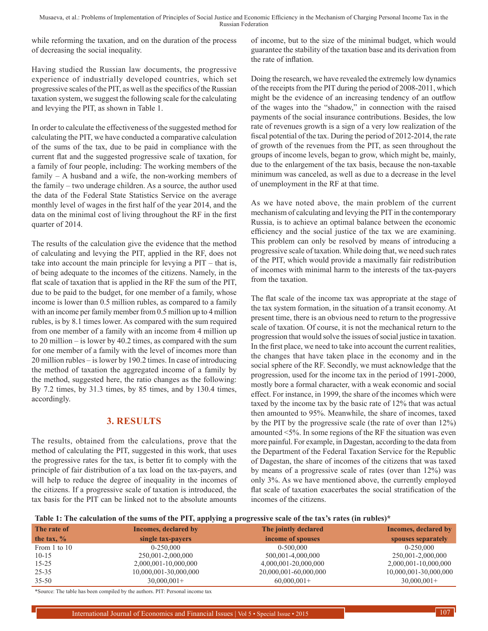while reforming the taxation, and on the duration of the process of decreasing the social inequality.

Having studied the Russian law documents, the progressive experience of industrially developed countries, which set progressive scales of the PIT, as well as the specifics of the Russian taxation system, we suggest the following scale for the calculating and levying the PIT, as shown in Table 1.

In order to calculate the effectiveness of the suggested method for calculating the PIT, we have conducted a comparative calculation of the sums of the tax, due to be paid in compliance with the current flat and the suggested progressive scale of taxation, for a family of four people, including: The working members of the family – A husband and a wife, the non-working members of the family – two underage children. As a source, the author used the data of the Federal State Statistics Service on the average monthly level of wages in the first half of the year 2014, and the data on the minimal cost of living throughout the RF in the first quarter of 2014.

The results of the calculation give the evidence that the method of calculating and levying the PIT, applied in the RF, does not take into account the main principle for levying a PIT – that is, of being adequate to the incomes of the citizens. Namely, in the flat scale of taxation that is applied in the RF the sum of the PIT, due to be paid to the budget, for one member of a family, whose income is lower than 0.5 million rubles, as compared to a family with an income per family member from 0.5 million up to 4 million rubles, is by 8.1 times lower. As compared with the sum required from one member of a family with an income from 4 million up to 20 million – is lower by 40.2 times, as compared with the sum for one member of a family with the level of incomes more than 20 million rubles – is lower by 190.2 times. In case of introducing the method of taxation the aggregated income of a family by the method, suggested here, the ratio changes as the following: By 7.2 times, by 31.3 times, by 85 times, and by 130.4 times, accordingly.

## **3. RESULTS**

The results, obtained from the calculations, prove that the method of calculating the PIT, suggested in this work, that uses the progressive rates for the tax, is better fit to comply with the principle of fair distribution of a tax load on the tax-payers, and will help to reduce the degree of inequality in the incomes of the citizens. If a progressive scale of taxation is introduced, the tax basis for the PIT can be linked not to the absolute amounts

of income, but to the size of the minimal budget, which would guarantee the stability of the taxation base and its derivation from the rate of inflation.

Doing the research, we have revealed the extremely low dynamics of the receipts from the PIT during the period of 2008-2011, which might be the evidence of an increasing tendency of an outflow of the wages into the "shadow," in connection with the raised payments of the social insurance contributions. Besides, the low rate of revenues growth is a sign of a very low realization of the fiscal potential of the tax. During the period of 2012-2014, the rate of growth of the revenues from the PIT, as seen throughout the groups of income levels, began to grow, which might be, mainly, due to the enlargement of the tax basis, because the non-taxable minimum was canceled, as well as due to a decrease in the level of unemployment in the RF at that time.

As we have noted above, the main problem of the current mechanism of calculating and levying the PIT in the contemporary Russia, is to achieve an optimal balance between the economic efficiency and the social justice of the tax we are examining. This problem can only be resolved by means of introducing a progressive scale of taxation. While doing that, we need such rates of the PIT, which would provide a maximally fair redistribution of incomes with minimal harm to the interests of the tax-payers from the taxation.

The flat scale of the income tax was appropriate at the stage of the tax system formation, in the situation of a transit economy. At present time, there is an obvious need to return to the progressive scale of taxation. Of course, it is not the mechanical return to the progression that would solve the issues of social justice in taxation. In the first place, we need to take into account the current realities, the changes that have taken place in the economy and in the social sphere of the RF. Secondly, we must acknowledge that the progression, used for the income tax in the period of 1991-2000, mostly bore a formal character, with a weak economic and social effect. For instance, in 1999, the share of the incomes which were taxed by the income tax by the basic rate of 12% that was actual then amounted to 95%. Meanwhile, the share of incomes, taxed by the PIT by the progressive scale (the rate of over than 12%) amounted <5%. In some regions of the RF the situation was even more painful. For example, in Dagestan, according to the data from the Department of the Federal Taxation Service for the Republic of Dagestan, the share of incomes of the citizens that was taxed by means of a progressive scale of rates (over than 12%) was only 3%. As we have mentioned above, the currently employed flat scale of taxation exacerbates the social stratification of the incomes of the citizens.

**Table 1: The calculation of the sums of the PIT, applying a progressive scale of the tax's rates (in rubles)\***

| The rate of   | Incomes, declared by  | The jointly declared  | Incomes, declared by  |
|---------------|-----------------------|-----------------------|-----------------------|
| the tax, $\%$ | single tax-payers     | income of spouses     | spouses separately    |
| From 1 to 10  | 0-250.000             | $0-500.000$           | 0-250.000             |
| $10-15$       | 250,001-2,000,000     | 500,001-4,000,000     | 250,001-2,000,000     |
| $15 - 25$     | 2,000,001-10,000,000  | 4,000,001-20,000,000  | 2,000,001-10,000,000  |
| $25 - 35$     | 10,000,001-30,000,000 | 20,000,001-60,000,000 | 10,000,001-30,000,000 |
| $35 - 50$     | $30,000,001+$         | $60,000,001+$         | $30,000,001+$         |

\*Source: The table has been compiled by the authors. PIT: Personal income tax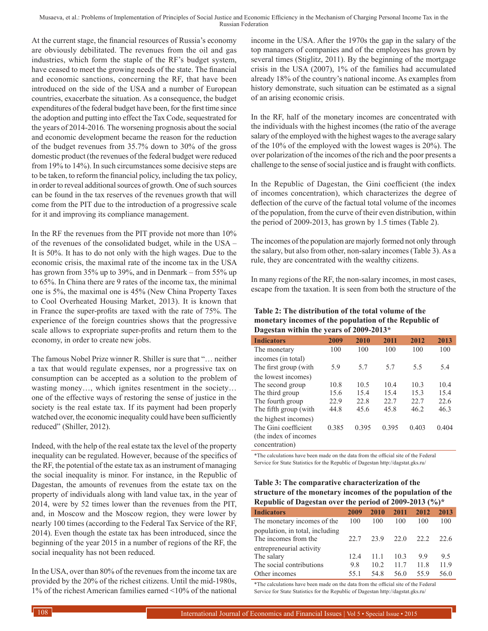Musaeva, et al.: Problems of Implementation of Principles of Social Justice and Economic Efficiency in the Mechanism of Charging Personal Income Tax in the Russian Federation

At the current stage, the financial resources of Russia's economy are obviously debilitated. The revenues from the oil and gas industries, which form the staple of the RF's budget system, have ceased to meet the growing needs of the state. The financial and economic sanctions, concerning the RF, that have been introduced on the side of the USA and a number of European countries, exacerbate the situation. As a consequence, the budget expenditures of the federal budget have been, for the first time since the adoption and putting into effect the Tax Code, sequestrated for the years of 2014-2016*.* The worsening prognosis about the social and economic development became the reason for the reduction of the budget revenues from 35.7% down to 30% of the gross domestic product (the revenues of the federal budget were reduced from 19% to 14%). In such circumstances some decisive steps are to be taken, to reform the financial policy, including the tax policy, in order to reveal additional sources of growth. One of such sources can be found in the tax reserves of the revenues growth that will come from the PIT due to the introduction of a progressive scale for it and improving its compliance management.

In the RF the revenues from the PIT provide not more than 10% of the revenues of the consolidated budget, while in the USA – It is 50%. It has to do not only with the high wages. Due to the economic crisis, the maximal rate of the income tax in the USA has grown from 35% up to 39%, and in Denmark – from 55% up to 65%. In China there are 9 rates of the income tax, the minimal one is 5%, the maximal one is 45% (New China Property Taxes to Cool Overheated Housing Market, 2013). It is known that in France the super-profits are taxed with the rate of 75%. The experience of the foreign countries shows that the progressive scale allows to expropriate super-profits and return them to the economy, in order to create new jobs.

The famous Nobel Prize winner R. Shiller is sure that "… neither a tax that would regulate expenses, nor a progressive tax on consumption can be accepted as a solution to the problem of wasting money…, which ignites resentment in the society… one of the effective ways of restoring the sense of justice in the society is the real estate tax. If its payment had been properly watched over, the economic inequality could have been sufficiently reduced" (Shiller, 2012).

Indeed, with the help of the real estate tax the level of the property inequality can be regulated. However, because of the specifics of the RF, the potential of the estate tax as an instrument of managing the social inequality is minor. For instance, in the Republic of Dagestan, the amounts of revenues from the estate tax on the property of individuals along with land value tax, in the year of 2014, were by 52 times lower than the revenues from the PIT, and, in Moscow and the Moscow region, they were lower by nearly 100 times (according to the Federal Tax Service of the RF, 2014). Even though the estate tax has been introduced, since the beginning of the year 2015 in a number of regions of the RF, the social inequality has not been reduced.

In the USA, over than 80% of the revenues from the income tax are provided by the 20% of the richest citizens. Until the mid-1980s, 1% of the richest American families earned <10% of the national income in the USA. After the 1970s the gap in the salary of the top managers of companies and of the employees has grown by several times (Stiglitz, 2011). By the beginning of the mortgage crisis in the USA (2007), 1% of the families had accumulated already 18% of the country's national income. As examples from history demonstrate, such situation can be estimated as a signal of an arising economic crisis.

In the RF, half of the monetary incomes are concentrated with the individuals with the highest incomes (the ratio of the average salary of the employed with the highest wages to the average salary of the 10% of the employed with the lowest wages is 20%). The over polarization of the incomes of the rich and the poor presents a challenge to the sense of social justice and is fraught with conflicts.

In the Republic of Dagestan, the Gini coefficient (the index of incomes concentration), which characterizes the degree of deflection of the curve of the factual total volume of the incomes of the population, from the curve of their even distribution, within the period of 2009-2013, has grown by 1.5 times (Table 2).

The incomes of the population are majorly formed not only through the salary, but also from other, non-salary incomes (Table 3). As a rule, they are concentrated with the wealthy citizens.

In many regions of the RF, the non-salary incomes, in most cases, escape from the taxation. It is seen from both the structure of the

#### **Table 2: The distribution of the total volume of the monetary incomes of the population of the Republic of Dagestan within the years of 2009-2013\***

| <b>Indicators</b>      | 2009  | 2010  | 2011  | 2012  | 2013  |
|------------------------|-------|-------|-------|-------|-------|
| The monetary           | 100   | 100   | 100   | 100   | 100   |
| incomes (in total)     |       |       |       |       |       |
| The first group (with  | 5.9   | 5.7   | 5.7   | 5.5   | 5.4   |
| the lowest incomes)    |       |       |       |       |       |
| The second group       | 10.8  | 10.5  | 10.4  | 10.3  | 10.4  |
| The third group        | 15.6  | 15.4  | 15.4  | 15.3  | 15.4  |
| The fourth group       | 22.9  | 22.8  | 22.7  | 22.7  | 22.6  |
| The fifth group (with  | 44.8  | 45.6  | 45.8  | 46.2  | 46.3  |
| the highest incomes)   |       |       |       |       |       |
| The Gini coefficient   | 0.385 | 0.395 | 0.395 | 0.403 | 0.404 |
| (the index of incomes) |       |       |       |       |       |
| concentration)         |       |       |       |       |       |

\*The calculations have been made on the data from the official site of the Federal Service for State Statistics for the Republic of Dagestan http://dagstat.gks.ru/

#### **Table 3: The comparative characterization of the structure of the monetary incomes of the population of the Republic of Dagestan over the period of 2009-2013 (%)\***

| <b>Indicators</b>                                       | 2009 | 2010 | 2011 | 2012 | 2013 |
|---------------------------------------------------------|------|------|------|------|------|
| The monetary incomes of the                             | 100  | 100  | 100  | 100  | 100  |
| population, in total, including<br>The incomes from the | 22.7 | 23.9 | 22.0 | 22.2 | 22.6 |
| entrepreneurial activity                                |      |      |      |      |      |
| The salary                                              | 12.4 | 11 1 | 10.3 | 99   | 95   |
| The social contributions                                | 9.8  | 10.2 | 11.7 | 11.8 | 11.9 |
| Other incomes                                           | 55 1 | 54 8 | 56.0 | 559  | 56.0 |

\*The calculations have been made on the data from the official site of the Federal Service for State Statistics for the Republic of Dagestan http://dagstat.gks.ru/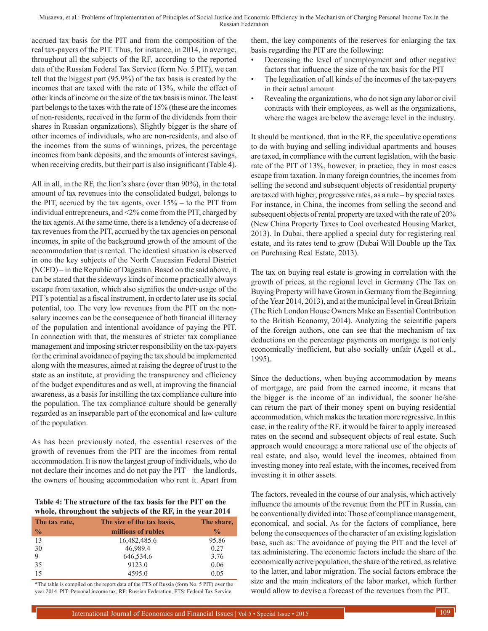accrued tax basis for the PIT and from the composition of the real tax-payers of the PIT. Thus, for instance, in 2014, in average, throughout all the subjects of the RF, according to the reported data of the Russian Federal Tax Service (form No. 5 PIT), we can tell that the biggest part (95.9%) of the tax basis is created by the incomes that are taxed with the rate of 13%, while the effect of other kinds of income on the size of the tax basis is minor. The least part belongs to the taxes with the rate of 15% (these are the incomes of non-residents, received in the form of the dividends from their shares in Russian organizations). Slightly bigger is the share of other incomes of individuals, who are non-residents, and also of the incomes from the sums of winnings, prizes, the percentage incomes from bank deposits, and the amounts of interest savings, when receiving credits, but their part is also insignificant (Table 4).

All in all, in the RF, the lion's share (over than 90%), in the total amount of tax revenues into the consolidated budget, belongs to the PIT, accrued by the tax agents, over 15% – to the PIT from individual entrepreneurs, and <2% come from the PIT, charged by the tax agents. At the same time, there is a tendency of a decrease of tax revenues from the PIT, accrued by the tax agencies on personal incomes, in spite of the background growth of the amount of the accommodation that is rented. The identical situation is observed in one the key subjects of the North Caucasian Federal District (NCFD) – in the Republic of Dagestan. Based on the said above, it can be stated that the sideways kinds of income practically always escape from taxation, which also signifies the under-usage of the PIT's potential as a fiscal instrument, in order to later use its social potential, too. The very low revenues from the PIT on the nonsalary incomes can be the consequence of both financial illiteracy of the population and intentional avoidance of paying the PIT. In connection with that, the measures of stricter tax compliance management and imposing stricter responsibility on the tax-payers for the criminal avoidance of paying the tax should be implemented along with the measures, aimed at raising the degree of trust to the state as an institute, at providing the transparency and efficiency of the budget expenditures and as well, at improving the financial awareness, as a basis for instilling the tax compliance culture into the population. The tax compliance culture should be generally regarded as an inseparable part of the economical and law culture of the population.

As has been previously noted, the essential reserves of the growth of revenues from the PIT are the incomes from rental accommodation. It is now the largest group of individuals, who do not declare their incomes and do not pay the PIT – the landlords, the owners of housing accommodation who rent it. Apart from

#### **Table 4: The structure of the tax basis for the PIT on the whole, throughout the subjects of the RF, in the year 2014**

| whole, throughout the subjects of the Kr, in the year 2011 |                            |               |  |  |
|------------------------------------------------------------|----------------------------|---------------|--|--|
| The tax rate,                                              | The size of the tax basis, | The share,    |  |  |
| $\frac{0}{0}$                                              | millions of rubles         | $\frac{0}{0}$ |  |  |
| 13                                                         | 16,482,485.6               | 95.86         |  |  |
| 30                                                         | 46,989.4                   | 0.27          |  |  |
| 9                                                          | 646,534.6                  | 3.76          |  |  |
| 35                                                         | 9123.0                     | 0.06          |  |  |
| 15                                                         | 4595.0                     | 0.05          |  |  |

\*The table is compiled on the report data of the FTS of Russia (form No. 5 PIT) over the year 2014. PIT: Personal income tax, RF: Russian Federation, FTS: Federal Tax Service

them, the key components of the reserves for enlarging the tax basis regarding the PIT are the following:

- Decreasing the level of unemployment and other negative factors that influence the size of the tax basis for the PIT
- The legalization of all kinds of the incomes of the tax-payers in their actual amount
- Revealing the organizations, who do not sign any labor or civil contracts with their employees, as well as the organizations, where the wages are below the average level in the industry*.*

It should be mentioned, that in the RF, the speculative operations to do with buying and selling individual apartments and houses are taxed, in compliance with the current legislation, with the basic rate of the PIT of 13%, however, in practice, they in most cases escape from taxation. In many foreign countries, the incomes from selling the second and subsequent objects of residential property are taxed with higher, progressive rates, as a rule – by special taxes. For instance, in China, the incomes from selling the second and subsequent objects of rental property are taxed with the rate of 20% (New China Property Taxes to Cool overheated Housing Market, 2013). In Dubai, there applied a special duty for registering real estate, and its rates tend to grow (Dubai Will Double up the Tax on Purchasing Real Estate, 2013).

The tax on buying real estate is growing in correlation with the growth of prices, at the regional level in Germany (The Tax on Buying Property will have Grown in Germany from the Beginning of the Year 2014, 2013), and at the municipal level in Great Britain (The Rich London House Owners Make an Essential Contribution to the British Economy, 2014). Analyzing the scientific papers of the foreign authors, one can see that the mechanism of tax deductions on the percentage payments on mortgage is not only economically inefficient, but also socially unfair (Agell et al., 1995).

Since the deductions, when buying accommodation by means of mortgage, are paid from the earned income, it means that the bigger is the income of an individual, the sooner he/she can return the part of their money spent on buying residential accommodation, which makes the taxation more regressive. In this case, in the reality of the RF, it would be fairer to apply increased rates on the second and subsequent objects of real estate. Such approach would encourage a more rational use of the objects of real estate, and also, would level the incomes, obtained from investing money into real estate, with the incomes, received from investing it in other assets.

The factors, revealed in the course of our analysis, which actively influence the amounts of the revenue from the PIT in Russia, can be conventionally divided into: Those of compliance management, economical, and social. As for the factors of compliance, here belong the consequences of the character of an existing legislation base, such as: The avoidance of paying the PIT and the level of tax administering. The economic factors include the share of the economically active population, the share of the retired, as relative to the latter, and labor migration. The social factors embrace the size and the main indicators of the labor market, which further would allow to devise a forecast of the revenues from the PIT.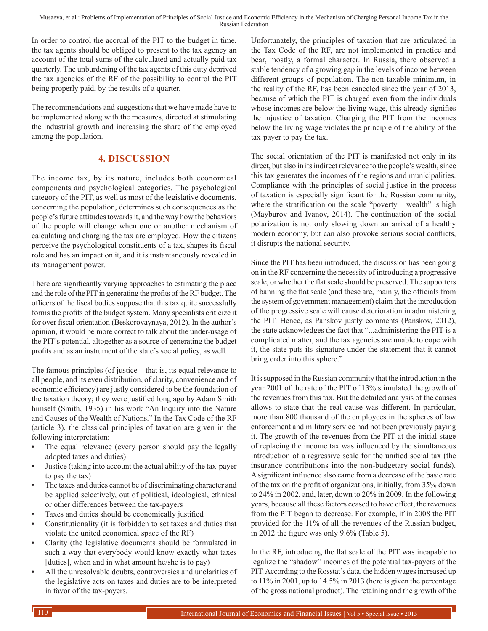In order to control the accrual of the PIT to the budget in time, the tax agents should be obliged to present to the tax agency an account of the total sums of the calculated and actually paid tax quarterly. The unburdening of the tax agents of this duty deprived the tax agencies of the RF of the possibility to control the PIT being properly paid, by the results of a quarter.

The recommendations and suggestions that we have made have to be implemented along with the measures, directed at stimulating the industrial growth and increasing the share of the employed among the population.

# **4. DISCUSSION**

The income tax, by its nature, includes both economical components and psychological categories. The psychological category of the PIT, as well as most of the legislative documents, concerning the population, determines such consequences as the people's future attitudes towards it, and the way how the behaviors of the people will change when one or another mechanism of calculating and charging the tax are employed. How the citizens perceive the psychological constituents of a tax, shapes its fiscal role and has an impact on it, and it is instantaneously revealed in its management power.

There are significantly varying approaches to estimating the place and the role of the PIT in generating the profits of the RF budget. The officers of the fiscal bodies suppose that this tax quite successfully forms the profits of the budget system. Many specialists criticize it for over fiscal orientation (Beskorovaynaya, 2012). In the author's opinion, it would be more correct to talk about the under-usage of the PIT's potential, altogether as a source of generating the budget profits and as an instrument of the state's social policy, as well.

The famous principles (of justice – that is, its equal relevance to all people, and its even distribution, of clarity, convenience and of economic efficiency) are justly considered to be the foundation of the taxation theory; they were justified long ago by Adam Smith himself (Smith, 1935) in his work "An Inquiry into the Nature and Causes of the Wealth of Nations." In the Tax Code of the RF (article 3), the classical principles of taxation are given in the following interpretation:

- The equal relevance (every person should pay the legally adopted taxes and duties)
- Justice (taking into account the actual ability of the tax-payer to pay the tax)
- The taxes and duties cannot be of discriminating character and be applied selectively, out of political, ideological, ethnical or other differences between the tax-payers
- Taxes and duties should be economically justified
- Constitutionality (it is forbidden to set taxes and duties that violate the united economical space of the RF)
- Clarity (the legislative documents should be formulated in such a way that everybody would know exactly what taxes [duties], when and in what amount he/she is to pay]
- All the unresolvable doubts, controversies and unclarities of the legislative acts on taxes and duties are to be interpreted in favor of the tax-payers.

Unfortunately, the principles of taxation that are articulated in the Tax Code of the RF, are not implemented in practice and bear, mostly, a formal character. In Russia, there observed a stable tendency of a growing gap in the levels of income between different groups of population. The non-taxable minimum, in the reality of the RF, has been canceled since the year of 2013, because of which the PIT is charged even from the individuals whose incomes are below the living wage, this already signifies the injustice of taxation. Charging the PIT from the incomes below the living wage violates the principle of the ability of the tax-payer to pay the tax.

The social orientation of the PIT is manifested not only in its direct, but also in its indirect relevance to the people's wealth, since this tax generates the incomes of the regions and municipalities. Compliance with the principles of social justice in the process of taxation is especially significant for the Russian community, where the stratification on the scale "poverty – wealth" is high (Mayburov and Ivanov, 2014). The continuation of the social polarization is not only slowing down an arrival of a healthy modern economy, but can also provoke serious social conflicts, it disrupts the national security.

Since the PIT has been introduced, the discussion has been going on in the RF concerning the necessity of introducing a progressive scale, or whether the flat scale should be preserved. The supporters of banning the flat scale (and these are, mainly, the officials from the system of government management) claim that the introduction of the progressive scale will cause deterioration in administering the PIT. Hence, as Panskov justly comments (Panskov, 2012), the state acknowledges the fact that "...administering the PIT is a complicated matter, and the tax agencies are unable to cope with it, the state puts its signature under the statement that it cannot bring order into this sphere."

It is supposed in the Russian community that the introduction in the year 2001 of the rate of the PIT of 13% stimulated the growth of the revenues from this tax. But the detailed analysis of the causes allows to state that the real cause was different. In particular, more than 800 thousand of the employees in the spheres of law enforcement and military service had not been previously paying it. The growth of the revenues from the PIT at the initial stage of replacing the income tax was influenced by the simultaneous introduction of a regressive scale for the unified social tax (the insurance contributions into the non-budgetary social funds). Asignificant influence also came from a decrease of the basic rate of the tax on the profit of organizations, initially, from 35% down to 24% in 2002, and, later, down to 20% in 2009. In the following years, because all these factors ceased to have effect, the revenues from the PIT began to decrease. For example, if in 2008 the PIT provided for the 11% of all the revenues of the Russian budget, in 2012 the figure was only 9.6% (Table 5).

In the RF, introducing the flat scale of the PIT was incapable to legalize the "shadow" incomes of the potential tax-payers of the PIT. According to the Rosstat's data, the hidden wages increased up to 11% in 2001, up to 14.5% in 2013 (here is given the percentage of the gross national product). The retaining and the growth of the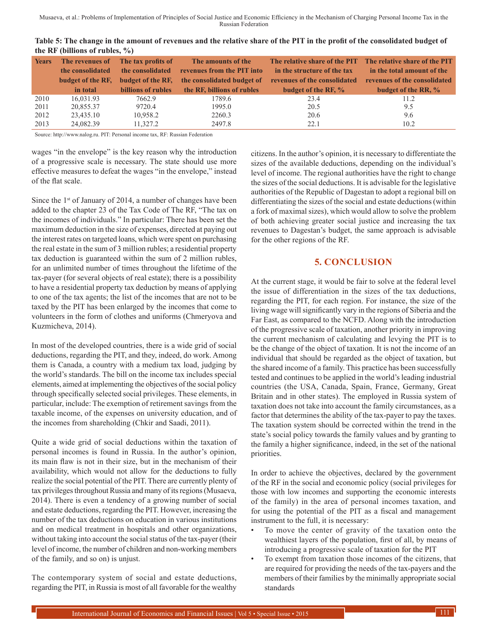| Table 5: The change in the amount of revenues and the relative share of the PIT in the profit of the consolidated budget of |  |
|-----------------------------------------------------------------------------------------------------------------------------|--|
| the RF (billions of rubles, $\%$ )                                                                                          |  |

| <b>Years</b> | The revenues of<br>the consolidated<br>budget of the RF,<br>in total | The tax profits of<br>the consolidated<br>budget of the RF,<br>billions of rubles | The amounts of the<br>revenues from the PIT into<br>the consolidated budget of<br>the RF, billions of rubles | The relative share of the PIT The relative share of the PIT<br>in the structure of the tax<br>revenues of the consolidated<br>budget of the RF, % | in the total amount of the<br>revenues of the consolidated<br>budget of the RR, % |
|--------------|----------------------------------------------------------------------|-----------------------------------------------------------------------------------|--------------------------------------------------------------------------------------------------------------|---------------------------------------------------------------------------------------------------------------------------------------------------|-----------------------------------------------------------------------------------|
| 2010         | 16,031.93                                                            | 7662.9                                                                            | 1789.6                                                                                                       | 23.4                                                                                                                                              | 11.2                                                                              |
| 2011         | 20,855.37                                                            | 9720.4                                                                            | 1995.0                                                                                                       | 20.5                                                                                                                                              | 9.5                                                                               |
| 2012         | 23,435.10                                                            | 10,958.2                                                                          | 2260.3                                                                                                       | 20.6                                                                                                                                              | 9.6                                                                               |
| 2013         | 24.082.39                                                            | 11,327.2                                                                          | 2497.8                                                                                                       | 22.1                                                                                                                                              | 10.2                                                                              |

Source: http://www.nalog.ru. PIT: Personal income tax, RF: Russian Federation

wages "in the envelope" is the key reason why the introduction of a progressive scale is necessary. The state should use more effective measures to defeat the wages "in the envelope," instead of the flat scale.

Since the  $1<sup>st</sup>$  of January of 2014, a number of changes have been added to the chapter 23 of the Tax Code of The RF, "The tax on the incomes of individuals." In particular: There has been set the maximum deduction in the size of expenses, directed at paying out the interest rates on targeted loans, which were spent on purchasing the real estate in the sum of 3 million rubles; a residential property tax deduction is guaranteed within the sum of 2 million rubles, for an unlimited number of times throughout the lifetime of the tax-payer (for several objects of real estate); there is a possibility to have a residential property tax deduction by means of applying to one of the tax agents; the list of the incomes that are not to be taxed by the PIT has been enlarged by the incomes that come to volunteers in the form of clothes and uniforms (Chmeryova and Kuzmicheva, 2014).

In most of the developed countries, there is a wide grid of social deductions, regarding the PIT, and they, indeed, do work. Among them is Canada, a country with a medium tax load, judging by the world's standards. The bill on the income tax includes special elements, aimed at implementing the objectives of the social policy through specifically selected social privileges. These elements, in particular, include: The exemption of retirement savings from the taxable income, of the expenses on university education, and of the incomes from shareholding (Chkir and Saadi, 2011).

Quite a wide grid of social deductions within the taxation of personal incomes is found in Russia. In the author's opinion, its main flaw is not in their size, but in the mechanism of their availability, which would not allow for the deductions to fully realize the social potential of the PIT. There are currently plenty of tax privileges throughout Russia and many of its regions (Musaeva, 2014). There is even a tendency of a growing number of social and estate deductions, regarding the PIT. However, increasing the number of the tax deductions on education in various institutions and on medical treatment in hospitals and other organizations, without taking into account the social status of the tax-payer (their level of income, the number of children and non-working members of the family, and so on) is unjust.

The contemporary system of social and estate deductions, regarding the PIT, in Russia is most of all favorable for the wealthy citizens. In the author's opinion, it is necessary to differentiate the sizes of the available deductions, depending on the individual's level of income. The regional authorities have the right to change the sizes of the social deductions. It is advisable for the legislative authorities of the Republic of Dagestan to adopt a regional bill on differentiating the sizes of the social and estate deductions (within a fork of maximal sizes), which would allow to solve the problem of both achieving greater social justice and increasing the tax revenues to Dagestan's budget, the same approach is advisable for the other regions of the RF.

## **5. CONCLUSION**

At the current stage, it would be fair to solve at the federal level the issue of differentiation in the sizes of the tax deductions, regarding the PIT, for each region. For instance, the size of the living wage will significantly vary in the regions of Siberia and the Far East, as compared to the NCFD. Along with the introduction of the progressive scale of taxation, another priority in improving the current mechanism of calculating and levying the PIT is to be the change of the object of taxation. It is not the income of an individual that should be regarded as the object of taxation, but the shared income of a family. This practice has been successfully tested and continues to be applied in the world's leading industrial countries (the USA, Canada, Spain, France, Germany, Great Britain and in other states). The employed in Russia system of taxation does not take into account the family circumstances, as a factor that determines the ability of the tax-payer to pay the taxes. The taxation system should be corrected within the trend in the state's social policy towards the family values and by granting to the family a higher significance, indeed, in the set of the national priorities.

In order to achieve the objectives, declared by the government of the RF in the social and economic policy (social privileges for those with low incomes and supporting the economic interests of the family) in the area of personal incomes taxation, and for using the potential of the PIT as a fiscal and management instrument to the full, it is necessary:

- To move the center of gravity of the taxation onto the wealthiest layers of the population, first of all, by means of introducing a progressive scale of taxation for the PIT
- To exempt from taxation those incomes of the citizens, that are required for providing the needs of the tax-payers and the members of their families by the minimally appropriate social standards